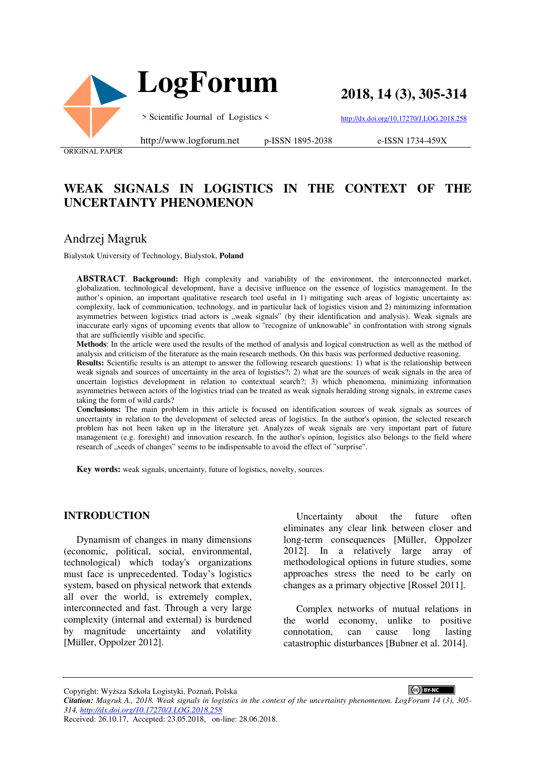

 **LogForum**

**2018, 14 (3), 305-314**

> Scientific Journal of Logistics <

http://dx.doi.org/10.17270/J.LOG.2018.258

ORIGINAL PAPER

http://www.logforum.net p-ISSN 1895-2038

e-ISSN 1734-459X

# **WEAK SIGNALS IN LOGISTICS IN THE CONTEXT OF THE UNCERTAINTY PHENOMENON**

## Andrzej Magruk

Bialystok University of Technology, Bialystok, **Poland**

**ABSTRACT**. **Background:** High complexity and variability of the environment, the interconnected market, globalization, technological development, have a decisive influence on the essence of logistics management. In the author's opinion, an important qualitative research tool useful in 1) mitigating such areas of logistic uncertainty as: complexity, lack of communication, technology, and in particular lack of logistics vision and 2) minimizing information asymmetries between logistics triad actors is "weak signals" (by their identification and analysis). Weak signals are inaccurate early signs of upcoming events that allow to "recognize of unknowable" in confrontation with strong signals that are sufficiently visible and specific.

**Methods**: In the article were used the results of the method of analysis and logical construction as well as the method of analysis and criticism of the literature as the main research methods. On this basis was performed deductive reasoning.

**Results:** Scientific results is an attempt to answer the following research questions: 1) what is the relationship between weak signals and sources of uncertainty in the area of logistics?; 2) what are the sources of weak signals in the area of uncertain logistics development in relation to contextual search?; 3) which phenomena, minimizing information asymmetries between actors of the logistics triad can be treated as weak signals heralding strong signals, in extreme cases taking the form of wild cards?

**Conclusions:** The main problem in this article is focused on identification sources of weak signals as sources of uncertainty in relation to the development of selected areas of logistics. In the author's opinion, the selected research problem has not been taken up in the literature yet. Analyzes of weak signals are very important part of future management (e.g. foresight) and innovation research. In the author's opinion, logistics also belongs to the field where research of "seeds of changes" seems to be indispensable to avoid the effect of "surprise".

**Key words:** weak signals, uncertainty, future of logistics, novelty, sources.

#### **INTRODUCTION**

Dynamism of changes in many dimensions (economic, political, social, environmental, technological) which today's organizations must face is unprecedented. Today's logistics system, based on physical network that extends all over the world, is extremely complex, interconnected and fast. Through a very large complexity (internal and external) is burdened by magnitude uncertainty and volatility [Müller, Oppolzer 2012].

Uncertainty about the future often eliminates any clear link between closer and long-term consequences [Müller, Oppolzer 2012]. In a relatively large array of methodological options in future studies, some approaches stress the need to be early on changes as a primary objective [Rossel 2011].

Complex networks of mutual relations in the world economy, unlike to positive connotation, can cause long lasting catastrophic disturbances [Bubner et al. 2014].

CC BY-NC

Copyright: Wyższa Szkoła Logistyki, Poznań, Polska

*Citation: Magruk A., 2018. Weak signals in logistics in the context of the uncertainty phenomenon. LogForum 14 (3), 305- 314, http://dx.doi.org/10.17270/J.LOG.2018.258* 

Received: 26.10.17, Accepted: 23.05.2018, on-line: 28.06.2018.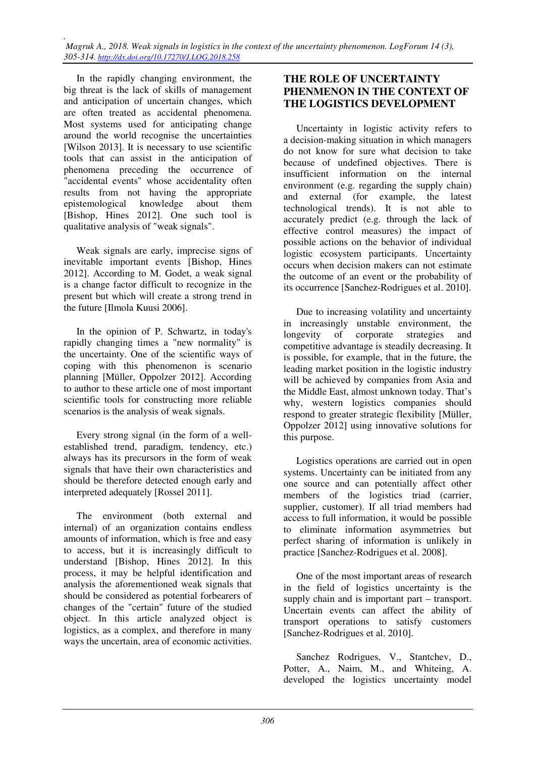In the rapidly changing environment, the big threat is the lack of skills of management and anticipation of uncertain changes, which are often treated as accidental phenomena. Most systems used for anticipating change around the world recognise the uncertainties [Wilson 2013]. It is necessary to use scientific tools that can assist in the anticipation of phenomena preceding the occurrence of "accidental events" whose accidentality often results from not having the appropriate epistemological knowledge about them [Bishop, Hines 2012]. One such tool is qualitative analysis of "weak signals".

Weak signals are early, imprecise signs of inevitable important events [Bishop, Hines 2012]. According to M. Godet, a weak signal is a change factor difficult to recognize in the present but which will create a strong trend in the future [Ilmola Kuusi 2006].

In the opinion of P. Schwartz, in today's rapidly changing times a "new normality" is the uncertainty. One of the scientific ways of coping with this phenomenon is scenario planning [Müller, Oppolzer 2012]. According to author to these article one of most important scientific tools for constructing more reliable scenarios is the analysis of weak signals.

Every strong signal (in the form of a wellestablished trend, paradigm, tendency, etc.) always has its precursors in the form of weak signals that have their own characteristics and should be therefore detected enough early and interpreted adequately [Rossel 2011].

The environment (both external and internal) of an organization contains endless amounts of information, which is free and easy to access, but it is increasingly difficult to understand [Bishop, Hines 2012]. In this process, it may be helpful identification and analysis the aforementioned weak signals that should be considered as potential forbearers of changes of the "certain" future of the studied object. In this article analyzed object is logistics, as a complex, and therefore in many ways the uncertain, area of economic activities.

#### **THE ROLE OF UNCERTAINTY PHENMENON IN THE CONTEXT OF THE LOGISTICS DEVELOPMENT**

Uncertainty in logistic activity refers to a decision-making situation in which managers do not know for sure what decision to take because of undefined objectives. There is insufficient information on the internal environment (e.g. regarding the supply chain) and external (for example, the latest technological trends). It is not able to accurately predict (e.g. through the lack of effective control measures) the impact of possible actions on the behavior of individual logistic ecosystem participants. Uncertainty occurs when decision makers can not estimate the outcome of an event or the probability of its occurrence [Sanchez-Rodrigues et al. 2010].

Due to increasing volatility and uncertainty in increasingly unstable environment, the longevity of corporate strategies and competitive advantage is steadily decreasing. It is possible, for example, that in the future, the leading market position in the logistic industry will be achieved by companies from Asia and the Middle East, almost unknown today. That's why, western logistics companies should respond to greater strategic flexibility [Müller, Oppolzer 2012] using innovative solutions for this purpose.

Logistics operations are carried out in open systems. Uncertainty can be initiated from any one source and can potentially affect other members of the logistics triad (carrier, supplier, customer). If all triad members had access to full information, it would be possible to eliminate information asymmetries but perfect sharing of information is unlikely in practice [Sanchez-Rodrigues et al. 2008].

One of the most important areas of research in the field of logistics uncertainty is the supply chain and is important part – transport. Uncertain events can affect the ability of transport operations to satisfy customers [Sanchez-Rodrigues et al. 2010].

Sanchez Rodrigues, V., Stantchev, D., Potter, A., Naim, M., and Whiteing, A. developed the logistics uncertainty model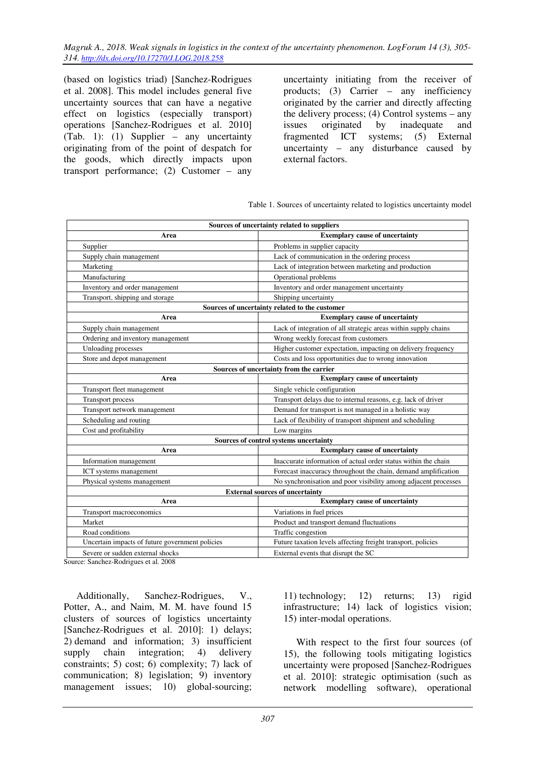(based on logistics triad) [Sanchez-Rodrigues et al. 2008]. This model includes general five uncertainty sources that can have a negative effect on logistics (especially transport) operations [Sanchez-Rodrigues et al. 2010] (Tab. 1): (1) Supplier – any uncertainty originating from of the point of despatch for the goods, which directly impacts upon transport performance; (2) Customer – any

uncertainty initiating from the receiver of products; (3) Carrier – any inefficiency originated by the carrier and directly affecting the delivery process; (4) Control systems – any issues originated by inadequate and fragmented ICT systems; (5) External uncertainty – any disturbance caused by external factors.

|  |  | Table 1. Sources of uncertainty related to logistics uncertainty model |
|--|--|------------------------------------------------------------------------|
|  |  |                                                                        |

| Sources of uncertainty related to suppliers     |                                                                 |  |  |  |  |
|-------------------------------------------------|-----------------------------------------------------------------|--|--|--|--|
| Area                                            | <b>Exemplary cause of uncertainty</b>                           |  |  |  |  |
| Supplier                                        | Problems in supplier capacity                                   |  |  |  |  |
| Supply chain management                         | Lack of communication in the ordering process                   |  |  |  |  |
| Marketing                                       | Lack of integration between marketing and production            |  |  |  |  |
| Manufacturing                                   | Operational problems                                            |  |  |  |  |
| Inventory and order management                  | Inventory and order management uncertainty                      |  |  |  |  |
| Transport, shipping and storage                 | Shipping uncertainty                                            |  |  |  |  |
| Sources of uncertainty related to the customer  |                                                                 |  |  |  |  |
| Area                                            | <b>Exemplary cause of uncertainty</b>                           |  |  |  |  |
| Supply chain management                         | Lack of integration of all strategic areas within supply chains |  |  |  |  |
| Ordering and inventory management               | Wrong weekly forecast from customers                            |  |  |  |  |
| Unloading processes                             | Higher customer expectation, impacting on delivery frequency    |  |  |  |  |
| Store and depot management                      | Costs and loss opportunities due to wrong innovation            |  |  |  |  |
|                                                 | Sources of uncertainty from the carrier                         |  |  |  |  |
| Area                                            | <b>Exemplary cause of uncertainty</b>                           |  |  |  |  |
| Transport fleet management                      | Single vehicle configuration                                    |  |  |  |  |
| Transport process                               | Transport delays due to internal reasons, e.g. lack of driver   |  |  |  |  |
| Transport network management                    | Demand for transport is not managed in a holistic way           |  |  |  |  |
| Scheduling and routing                          | Lack of flexibility of transport shipment and scheduling        |  |  |  |  |
| Cost and profitability                          | Low margins                                                     |  |  |  |  |
|                                                 | Sources of control systems uncertainty                          |  |  |  |  |
| Area                                            | <b>Exemplary cause of uncertainty</b>                           |  |  |  |  |
| Information management                          | Inaccurate information of actual order status within the chain  |  |  |  |  |
| ICT systems management                          | Forecast inaccuracy throughout the chain, demand amplification  |  |  |  |  |
| Physical systems management                     | No synchronisation and poor visibility among adjacent processes |  |  |  |  |
|                                                 | <b>External sources of uncertainty</b>                          |  |  |  |  |
| Area                                            | <b>Exemplary cause of uncertainty</b>                           |  |  |  |  |
| Transport macroeconomics                        | Variations in fuel prices                                       |  |  |  |  |
| Market                                          | Product and transport demand fluctuations                       |  |  |  |  |
| Road conditions                                 | Traffic congestion                                              |  |  |  |  |
| Uncertain impacts of future government policies | Future taxation levels affecting freight transport, policies    |  |  |  |  |
| Severe or sudden external shocks                | External events that disrupt the SC                             |  |  |  |  |

Source: Sanchez-Rodrigues et al. 2008

Additionally, Sanchez-Rodrigues, V., Potter, A., and Naim, M. M. have found 15 clusters of sources of logistics uncertainty [Sanchez-Rodrigues et al. 2010]: 1) delays; 2) demand and information; 3) insufficient supply chain integration; 4) delivery constraints; 5) cost; 6) complexity; 7) lack of communication; 8) legislation; 9) inventory management issues; 10) global-sourcing; 11) technology; 12) returns; 13) rigid infrastructure; 14) lack of logistics vision; 15) inter-modal operations.

With respect to the first four sources (of 15), the following tools mitigating logistics uncertainty were proposed [Sanchez-Rodrigues et al. 2010]: strategic optimisation (such as network modelling software), operational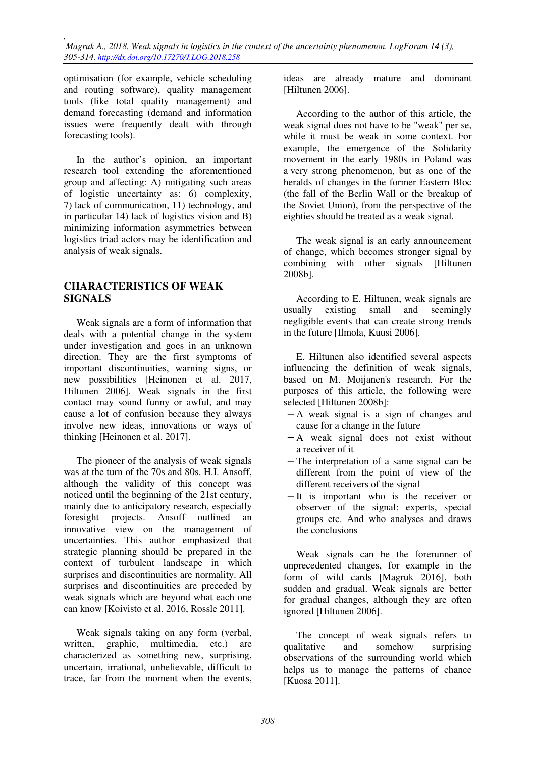optimisation (for example, vehicle scheduling and routing software), quality management tools (like total quality management) and demand forecasting (demand and information issues were frequently dealt with through forecasting tools).

In the author's opinion, an important research tool extending the aforementioned group and affecting: A) mitigating such areas of logistic uncertainty as: 6) complexity, 7) lack of communication, 11) technology, and in particular 14) lack of logistics vision and B) minimizing information asymmetries between logistics triad actors may be identification and analysis of weak signals.

### **CHARACTERISTICS OF WEAK SIGNALS**

Weak signals are a form of information that deals with a potential change in the system under investigation and goes in an unknown direction. They are the first symptoms of important discontinuities, warning signs, or new possibilities [Heinonen et al. 2017, Hiltunen 2006]. Weak signals in the first contact may sound funny or awful, and may cause a lot of confusion because they always involve new ideas, innovations or ways of thinking [Heinonen et al. 2017].

The pioneer of the analysis of weak signals was at the turn of the 70s and 80s. H.I. Ansoff, although the validity of this concept was noticed until the beginning of the 21st century, mainly due to anticipatory research, especially foresight projects. Ansoff outlined an innovative view on the management of uncertainties. This author emphasized that strategic planning should be prepared in the context of turbulent landscape in which surprises and discontinuities are normality. All surprises and discontinuities are preceded by weak signals which are beyond what each one can know [Koivisto et al. 2016, Rossle 2011].

Weak signals taking on any form (verbal, written, graphic, multimedia, etc.) are characterized as something new, surprising, uncertain, irrational, unbelievable, difficult to trace, far from the moment when the events,

ideas are already mature and dominant [Hiltunen 2006].

According to the author of this article, the weak signal does not have to be "weak" per se, while it must be weak in some context. For example, the emergence of the Solidarity movement in the early 1980s in Poland was a very strong phenomenon, but as one of the heralds of changes in the former Eastern Bloc (the fall of the Berlin Wall or the breakup of the Soviet Union), from the perspective of the eighties should be treated as a weak signal.

The weak signal is an early announcement of change, which becomes stronger signal by combining with other signals [Hiltunen 2008b].

According to E. Hiltunen, weak signals are usually existing small and seemingly negligible events that can create strong trends in the future [Ilmola, Kuusi 2006].

E. Hiltunen also identified several aspects influencing the definition of weak signals, based on M. Moijanen's research. For the purposes of this article, the following were selected [Hiltunen 2008b]:

- − A weak signal is a sign of changes and cause for a change in the future
- − A weak signal does not exist without a receiver of it
- − The interpretation of a same signal can be different from the point of view of the different receivers of the signal
- − It is important who is the receiver or observer of the signal: experts, special groups etc. And who analyses and draws the conclusions

Weak signals can be the forerunner of unprecedented changes, for example in the form of wild cards [Magruk 2016], both sudden and gradual. Weak signals are better for gradual changes, although they are often ignored [Hiltunen 2006].

The concept of weak signals refers to qualitative and somehow surprising observations of the surrounding world which helps us to manage the patterns of chance [Kuosa 2011].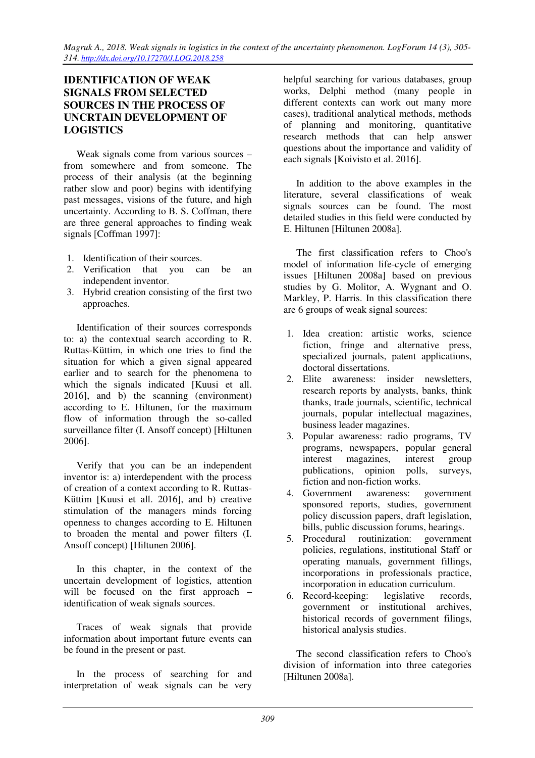### **IDENTIFICATION OF WEAK SIGNALS FROM SELECTED SOURCES IN THE PROCESS OF UNCRTAIN DEVELOPMENT OF LOGISTICS**

Weak signals come from various sources – from somewhere and from someone. The process of their analysis (at the beginning rather slow and poor) begins with identifying past messages, visions of the future, and high uncertainty. According to B. S. Coffman, there are three general approaches to finding weak signals [Coffman 1997]:

- 1. Identification of their sources.
- 2. Verification that you can be an independent inventor.
- 3. Hybrid creation consisting of the first two approaches.

Identification of their sources corresponds to: a) the contextual search according to R. Ruttas-Küttim, in which one tries to find the situation for which a given signal appeared earlier and to search for the phenomena to which the signals indicated [Kuusi et all. 2016], and b) the scanning (environment) according to E. Hiltunen, for the maximum flow of information through the so-called surveillance filter (I. Ansoff concept) [Hiltunen 2006].

Verify that you can be an independent inventor is: a) interdependent with the process of creation of a context according to R. Ruttas-Küttim [Kuusi et all. 2016], and b) creative stimulation of the managers minds forcing openness to changes according to E. Hiltunen to broaden the mental and power filters (I. Ansoff concept) [Hiltunen 2006].

In this chapter, in the context of the uncertain development of logistics, attention will be focused on the first approach – identification of weak signals sources.

Traces of weak signals that provide information about important future events can be found in the present or past.

In the process of searching for and interpretation of weak signals can be very

helpful searching for various databases, group works, Delphi method (many people in different contexts can work out many more cases), traditional analytical methods, methods of planning and monitoring, quantitative research methods that can help answer questions about the importance and validity of each signals [Koivisto et al. 2016].

In addition to the above examples in the literature, several classifications of weak signals sources can be found. The most detailed studies in this field were conducted by E. Hiltunen [Hiltunen 2008a].

The first classification refers to Choo's model of information life-cycle of emerging issues [Hiltunen 2008a] based on previous studies by G. Molitor, A. Wygnant and O. Markley, P. Harris. In this classification there are 6 groups of weak signal sources:

- 1. Idea creation: artistic works, science fiction, fringe and alternative press, specialized journals, patent applications, doctoral dissertations.
- 2. Elite awareness: insider newsletters, research reports by analysts, banks, think thanks, trade journals, scientific, technical journals, popular intellectual magazines, business leader magazines.
- 3. Popular awareness: radio programs, TV programs, newspapers, popular general interest magazines, interest group publications, opinion polls, surveys, fiction and non-fiction works.
- 4. Government awareness: government sponsored reports, studies, government policy discussion papers, draft legislation, bills, public discussion forums, hearings.
- 5. Procedural routinization: government policies, regulations, institutional Staff or operating manuals, government fillings, incorporations in professionals practice, incorporation in education curriculum.
- 6. Record-keeping: legislative records, government or institutional archives, historical records of government filings, historical analysis studies.

The second classification refers to Choo's division of information into three categories [Hiltunen 2008a].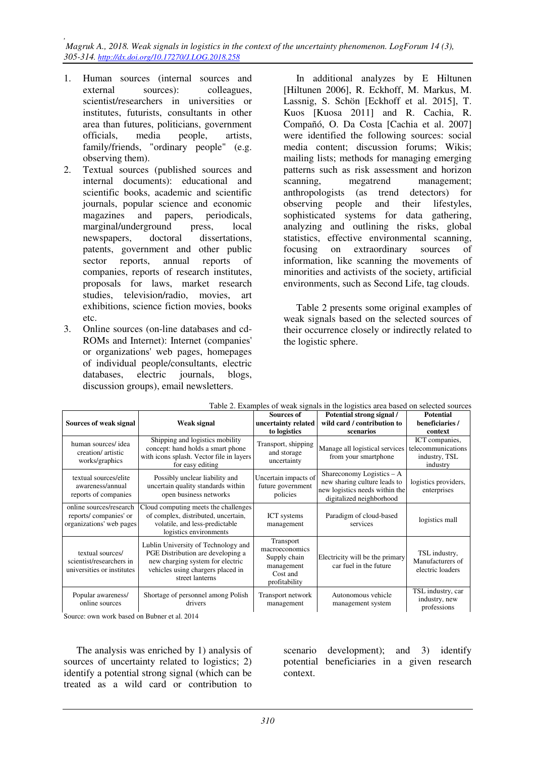*, Magruk A., 2018. Weak signals in logistics in the context of the uncertainty phenomenon. LogForum 14 (3), 305-314. http://dx.doi.org/10.17270/J.LOG.2018.258* 

- 1. Human sources (internal sources and external sources): colleagues, scientist/researchers in universities or institutes, futurists, consultants in other area than futures, politicians, government officials, media people, artists, family/friends, "ordinary people" (e.g. observing them).
- 2. Textual sources (published sources and internal documents): educational and scientific books, academic and scientific journals, popular science and economic magazines and papers, periodicals, marginal/underground press, local newspapers, doctoral dissertations, patents, government and other public sector reports, annual reports of companies, reports of research institutes, proposals for laws, market research studies, television/radio, movies, art exhibitions, science fiction movies, books etc.
- 3. Online sources (on-line databases and cd-ROMs and Internet): Internet (companies' or organizations' web pages, homepages of individual people/consultants, electric databases, electric journals, blogs, discussion groups), email newsletters.

In additional analyzes by E Hiltunen [Hiltunen 2006], R. Eckhoff, M. Markus, M. Lassnig, S. Schön [Eckhoff et al. 2015], T. Kuos [Kuosa 2011] and R. Cachia, R. Compañó, O. Da Costa [Cachia et al. 2007] were identified the following sources: social media content; discussion forums; Wikis; mailing lists; methods for managing emerging patterns such as risk assessment and horizon scanning, megatrend management; anthropologists (as trend detectors) for observing people and their lifestyles, sophisticated systems for data gathering, analyzing and outlining the risks, global statistics, effective environmental scanning, focusing on extraordinary sources of information, like scanning the movements of minorities and activists of the society, artificial environments, such as Second Life, tag clouds.

Table 2 presents some original examples of weak signals based on the selected sources of their occurrence closely or indirectly related to the logistic sphere.

| Table 2. Examples of weak signals in the logistics area based on selected sources |                                                                                                                                                                      |                                                                                        |                                                                                                                           |                                                                   |  |
|-----------------------------------------------------------------------------------|----------------------------------------------------------------------------------------------------------------------------------------------------------------------|----------------------------------------------------------------------------------------|---------------------------------------------------------------------------------------------------------------------------|-------------------------------------------------------------------|--|
|                                                                                   |                                                                                                                                                                      | Sources of                                                                             | Potential strong signal /                                                                                                 | <b>Potential</b>                                                  |  |
| Sources of weak signal                                                            | Weak signal                                                                                                                                                          | uncertainty related                                                                    | wild card / contribution to                                                                                               | beneficiaries /                                                   |  |
|                                                                                   |                                                                                                                                                                      | to logistics                                                                           | scenarios                                                                                                                 | context                                                           |  |
| human sources/idea<br>creation/ artistic<br>works/graphics                        | Shipping and logistics mobility<br>concept: hand holds a smart phone<br>with icons splash. Vector file in layers<br>for easy editing                                 | Transport, shipping<br>and storage<br>uncertainty                                      | Manage all logistical services<br>from your smartphone                                                                    | ICT companies,<br>telecommunications<br>industry, TSL<br>industry |  |
| textual sources/elite<br>awareness/annual<br>reports of companies                 | Possibly unclear liability and<br>uncertain quality standards within<br>open business networks                                                                       | Uncertain impacts of<br>future government<br>policies                                  | Shareconomy Logistics $- A$<br>new sharing culture leads to<br>new logistics needs within the<br>digitalized neighborhood | logistics providers,<br>enterprises                               |  |
| online sources/research<br>reports/companies' or<br>organizations' web pages      | Cloud computing meets the challenges<br>of complex, distributed, uncertain,<br>volatile, and less-predictable<br>logistics environments                              | <b>ICT</b> systems<br>management                                                       | Paradigm of cloud-based<br>services                                                                                       | logistics mall                                                    |  |
| textual sources/<br>scientist/researchers in<br>universities or institutes        | Lublin University of Technology and<br>PGE Distribution are developing a<br>new charging system for electric<br>vehicles using chargers placed in<br>street lanterns | Transport<br>macroeconomics<br>Supply chain<br>management<br>Cost and<br>profitability | Electricity will be the primary<br>car fuel in the future                                                                 | TSL industry,<br>Manufacturers of<br>electric loaders             |  |
| Popular awareness/<br>online sources                                              | Shortage of personnel among Polish<br>drivers                                                                                                                        | Transport network<br>management                                                        | Autonomous vehicle<br>management system                                                                                   | TSL industry, car<br>industry, new<br>professions                 |  |

|  |  | Table 2. Examples of weak signals in the logistics area based on selected sources |
|--|--|-----------------------------------------------------------------------------------|
|  |  |                                                                                   |

Source: own work based on Bubner et al. 2014

The analysis was enriched by 1) analysis of sources of uncertainty related to logistics; 2) identify a potential strong signal (which can be treated as a wild card or contribution to

scenario development); and 3) identify potential beneficiaries in a given research context.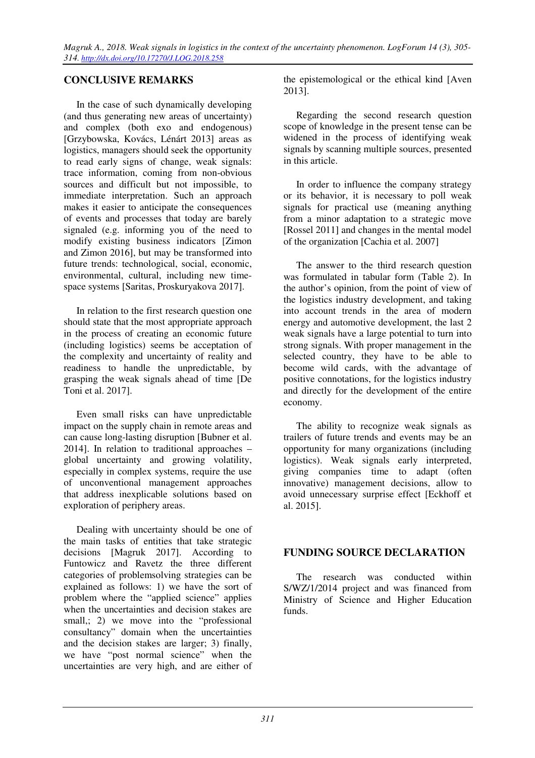## **CONCLUSIVE REMARKS**

In the case of such dynamically developing (and thus generating new areas of uncertainty) and complex (both exo and endogenous) [Grzybowska, Kovács, Lénárt 2013] areas as logistics, managers should seek the opportunity to read early signs of change, weak signals: trace information, coming from non-obvious sources and difficult but not impossible, to immediate interpretation. Such an approach makes it easier to anticipate the consequences of events and processes that today are barely signaled (e.g. informing you of the need to modify existing business indicators [Zimon and Zimon 2016], but may be transformed into future trends: technological, social, economic, environmental, cultural, including new timespace systems [Saritas, Proskuryakova 2017].

In relation to the first research question one should state that the most appropriate approach in the process of creating an economic future (including logistics) seems be acceptation of the complexity and uncertainty of reality and readiness to handle the unpredictable, by grasping the weak signals ahead of time [De Toni et al. 2017].

Even small risks can have unpredictable impact on the supply chain in remote areas and can cause long-lasting disruption [Bubner et al. 2014]. In relation to traditional approaches – global uncertainty and growing volatility, especially in complex systems, require the use of unconventional management approaches that address inexplicable solutions based on exploration of periphery areas.

Dealing with uncertainty should be one of the main tasks of entities that take strategic decisions [Magruk 2017]. According to Funtowicz and Ravetz the three different categories of problemsolving strategies can be explained as follows: 1) we have the sort of problem where the "applied science" applies when the uncertainties and decision stakes are small,; 2) we move into the "professional" consultancy" domain when the uncertainties and the decision stakes are larger; 3) finally, we have "post normal science" when the uncertainties are very high, and are either of

the epistemological or the ethical kind [Aven 2013].

Regarding the second research question scope of knowledge in the present tense can be widened in the process of identifying weak signals by scanning multiple sources, presented in this article.

In order to influence the company strategy or its behavior, it is necessary to poll weak signals for practical use (meaning anything from a minor adaptation to a strategic move [Rossel 2011] and changes in the mental model of the organization [Cachia et al. 2007]

The answer to the third research question was formulated in tabular form (Table 2). In the author's opinion, from the point of view of the logistics industry development, and taking into account trends in the area of modern energy and automotive development, the last 2 weak signals have a large potential to turn into strong signals. With proper management in the selected country, they have to be able to become wild cards, with the advantage of positive connotations, for the logistics industry and directly for the development of the entire economy.

The ability to recognize weak signals as trailers of future trends and events may be an opportunity for many organizations (including logistics). Weak signals early interpreted, giving companies time to adapt (often innovative) management decisions, allow to avoid unnecessary surprise effect [Eckhoff et al. 2015].

### **FUNDING SOURCE DECLARATION**

The research was conducted within S/WZ/1/2014 project and was financed from Ministry of Science and Higher Education funds.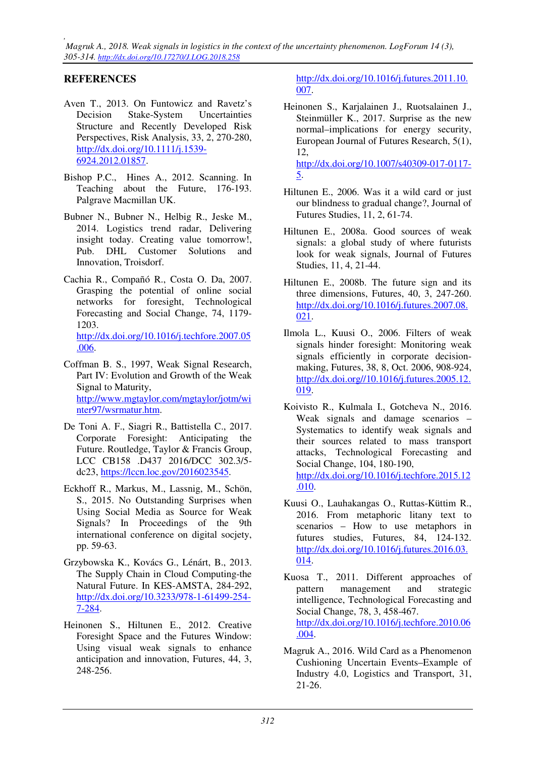*, Magruk A., 2018. Weak signals in logistics in the context of the uncertainty phenomenon. LogForum 14 (3), 305-314. http://dx.doi.org/10.17270/J.LOG.2018.258* 

# **REFERENCES**

- Aven T., 2013. On Funtowicz and Ravetz's Decision Stake-System Uncertainties Structure and Recently Developed Risk Perspectives, Risk Analysis, 33, 2, 270-280, http://dx.doi.org/10.1111/j.1539- 6924.2012.01857.
- Bishop P.C., Hines A., 2012. Scanning. In Teaching about the Future, 176-193. Palgrave Macmillan UK.
- Bubner N., Bubner N., Helbig R., Jeske M., 2014. Logistics trend radar, Delivering insight today. Creating value tomorrow!, Pub. DHL Customer Solutions and Innovation, Troisdorf.
- Cachia R., Compañó R., Costa O. Da, 2007. Grasping the potential of online social networks for foresight, Technological Forecasting and Social Change, 74, 1179- 1203. http://dx.doi.org/10.1016/j.techfore.2007.05 .006.
- Coffman B. S., 1997, Weak Signal Research, Part IV: Evolution and Growth of the Weak Signal to Maturity, http://www.mgtaylor.com/mgtaylor/jotm/wi nter97/wsrmatur.htm.
- De Toni A. F., Siagri R., Battistella C., 2017. Corporate Foresight: Anticipating the Future. Routledge, Taylor & Francis Group, LCC CB158 .D437 2016/DCC 302.3/5 dc23, https://lccn.loc.gov/2016023545.
- Eckhoff R., Markus, M., Lassnig, M., Schön, S., 2015. No Outstanding Surprises when Using Social Media as Source for Weak Signals? In Proceedings of the 9th international conference on digital socjety, pp. 59-63.
- Grzybowska K., Kovács G., Lénárt, B., 2013. The Supply Chain in Cloud Computing-the Natural Future. In KES-AMSTA, 284-292, http://dx.doi.org/10.3233/978-1-61499-254- 7-284.
- Heinonen S., Hiltunen E., 2012. Creative Foresight Space and the Futures Window: Using visual weak signals to enhance anticipation and innovation, Futures, 44, 3, 248-256.

http://dx.doi.org/10.1016/j.futures.2011.10. 007.

Heinonen S., Karjalainen J., Ruotsalainen J., Steinmüller K., 2017. Surprise as the new normal–implications for energy security, European Journal of Futures Research, 5(1), 12, http://dx.doi.org/10.1007/s40309-017-0117-

5.

- Hiltunen E., 2006. Was it a wild card or just our blindness to gradual change?, Journal of Futures Studies, 11, 2, 61-74.
- Hiltunen E., 2008a. Good sources of weak signals: a global study of where futurists look for weak signals, Journal of Futures Studies, 11, 4, 21-44.
- Hiltunen E., 2008b. The future sign and its three dimensions, Futures, 40, 3, 247-260. http://dx.doi.org/10.1016/j.futures.2007.08. 021.
- Ilmola L., Kuusi O., 2006. Filters of weak signals hinder foresight: Monitoring weak signals efficiently in corporate decisionmaking, Futures, 38, 8, Oct. 2006, 908-924, http://dx.doi.org//10.1016/j.futures.2005.12. 019.
- Koivisto R., Kulmala I., Gotcheva N., 2016. Weak signals and damage scenarios – Systematics to identify weak signals and their sources related to mass transport attacks, Technological Forecasting and Social Change, 104, 180-190, http://dx.doi.org/10.1016/j.techfore.2015.12 .010.
- Kuusi O., Lauhakangas O., Ruttas-Küttim R., 2016. From metaphoric litany text to scenarios – How to use metaphors in futures studies, Futures, 84, 124-132. http://dx.doi.org/10.1016/j.futures.2016.03. 014.
- Kuosa T., 2011. Different approaches of pattern management and strategic intelligence, Technological Forecasting and Social Change, 78, 3, 458-467. http://dx.doi.org/10.1016/j.techfore.2010.06 .004.
- Magruk A., 2016. Wild Card as a Phenomenon Cushioning Uncertain Events–Example of Industry 4.0, Logistics and Transport, 31, 21-26.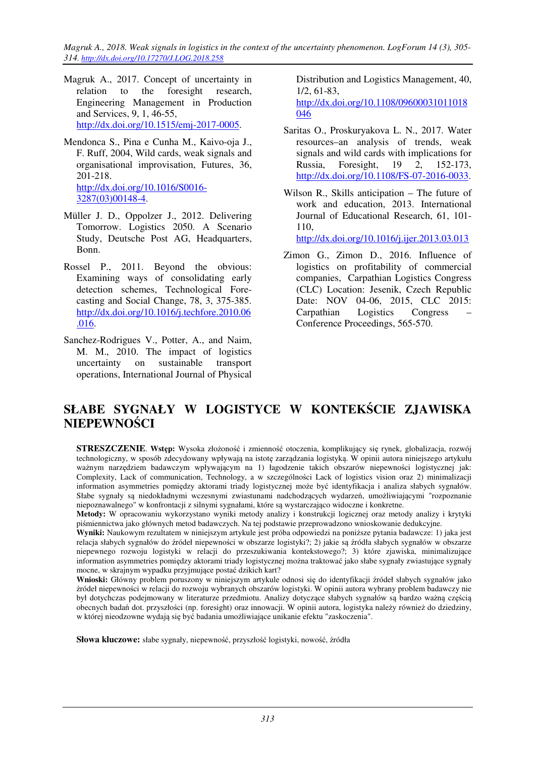*Magruk A., 2018. Weak signals in logistics in the context of the uncertainty phenomenon. LogForum 14 (3), 305- 314. http://dx.doi.org/10.17270/J.LOG.2018.258* 

- Magruk A., 2017. Concept of uncertainty in relation to the foresight research, Engineering Management in Production and Services, 9, 1, 46-55, http://dx.doi.org/10.1515/emj-2017-0005.
- Mendonca S., Pina e Cunha M., Kaivo-oja J., F. Ruff, 2004, Wild cards, weak signals and organisational improvisation, Futures, 36, 201-218. http://dx.doi.org/10.1016/S0016- 3287(03)00148-4.
- Müller J. D., Oppolzer J., 2012. Delivering Tomorrow. Logistics 2050. A Scenario Study, Deutsche Post AG, Headquarters, Bonn.
- Rossel P., 2011. Beyond the obvious: Examining ways of consolidating early detection schemes, Technological Forecasting and Social Change, 78, 3, 375-385. http://dx.doi.org/10.1016/j.techfore.2010.06 .016.
- Sanchez-Rodrigues V., Potter, A., and Naim, M. M., 2010. The impact of logistics uncertainty on sustainable transport operations, International Journal of Physical

Distribution and Logistics Management, 40, 1/2, 61-83,

http://dx.doi.org/10.1108/09600031011018 046

- Saritas O., Proskuryakova L. N., 2017. Water resources–an analysis of trends, weak signals and wild cards with implications for Russia, Foresight, 19 2, 152-173, http://dx.doi.org/10.1108/FS-07-2016-0033.
- Wilson R., Skills anticipation The future of work and education, 2013. International Journal of Educational Research, 61, 101- 110,

http://dx.doi.org/10.1016/j.ijer.2013.03.013

Zimon G., Zimon D., 2016. Influence of logistics on profitability of commercial companies, Carpathian Logistics Congress (CLC) Location: Jesenik, Czech Republic Date: NOV 04-06, 2015, CLC 2015: Carpathian Logistics Congress – Conference Proceedings, 565-570.

# **SŁABE SYGNAŁY W LOGISTYCE W KONTEKŚCIE ZJAWISKA NIEPEWNOŚCI**

**STRESZCZENIE**. **Wstęp:** Wysoka złożoność i zmienność otoczenia, komplikujący się rynek, globalizacja, rozwój technologiczny, w sposób zdecydowany wpływają na istotę zarządzania logistyką. W opinii autora niniejszego artykułu ważnym narzędziem badawczym wpływającym na 1) łagodzenie takich obszarów niepewności logistycznej jak: Complexity, Lack of communication, Technology, a w szczególności Lack of logistics vision oraz 2) minimalizacji information asymmetries pomiędzy aktorami triady logistycznej może być identyfikacja i analiza słabych sygnałów. Słabe sygnały są niedokładnymi wczesnymi zwiastunami nadchodzących wydarzeń, umożliwiającymi "rozpoznanie niepoznawalnego" w konfrontacji z silnymi sygnałami, które są wystarczająco widoczne i konkretne.

**Metody:** W opracowaniu wykorzystano wyniki metody analizy i konstrukcji logicznej oraz metody analizy i krytyki piśmiennictwa jako głównych metod badawczych. Na tej podstawie przeprowadzono wnioskowanie dedukcyjne.

**Wyniki:** Naukowym rezultatem w niniejszym artykule jest próba odpowiedzi na poniższe pytania badawcze: 1) jaka jest relacja słabych sygnałów do źródeł niepewności w obszarze logistyki?; 2) jakie są źródła słabych sygnałów w obszarze niepewnego rozwoju logistyki w relacji do przeszukiwania kontekstowego?; 3) które zjawiska, minimalizujące information asymmetries pomiędzy aktorami triady logistycznej można traktować jako słabe sygnały zwiastujące sygnały mocne, w skrajnym wypadku przyjmujące postać dzikich kart?

**Wnioski:** Główny problem poruszony w niniejszym artykule odnosi się do identyfikacji źródeł słabych sygnałów jako źródeł niepewności w relacji do rozwoju wybranych obszarów logistyki. W opinii autora wybrany problem badawczy nie był dotychczas podejmowany w literaturze przedmiotu. Analizy dotyczące słabych sygnałów są bardzo ważną częścią obecnych badań dot. przyszłości (np. foresight) oraz innowacji. W opinii autora, logistyka należy również do dziedziny, w której nieodzowne wydają się być badania umożliwiające unikanie efektu "zaskoczenia".

**Słowa kluczowe:** słabe sygnały, niepewność, przyszłość logistyki, nowość, źródła